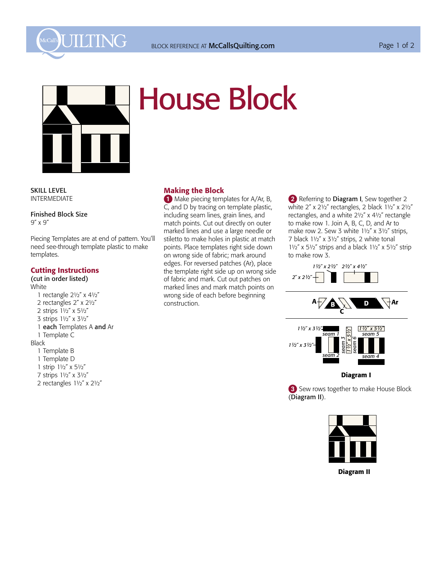



## House Block

**SKILL LEVEL INTERMEDIATE** SKILL LEVEL

> Finished Block Size 9˝ x 9˝

Piecing Templates are at end of pattern. You'll need see-through template plastic to make templates.

## Cutting Instructions

(cut in order listed) White 1 rectangle  $2\frac{1}{2}$ " x  $4\frac{1}{2}$ " 2 rectangles 2" x 21/2" 2 strips  $1\frac{1}{2}$ " x 5 $\frac{1}{2}$ " 3 strips  $1\frac{1}{2}$ " x 3 $\frac{1}{2}$ " 1 each Templates A and Ar 1 Template C Black 1 Template B 1 Template D 1 strip 11/2" x 51/2" 7 strips  $1\frac{1}{2}$ " x 3 $\frac{1}{2}$ " 2 rectangles  $1\frac{1}{2}$ " x  $2\frac{1}{2}$ "

## Making the Block

1 Make piecing templates for A/Ar, B, C, and D by tracing on template plastic, including seam lines, grain lines, and match points. Cut out directly on outer marked lines and use a large needle or stiletto to make holes in plastic at match points. Place templates right side down on wrong side of fabric; mark around edges. For reversed patches (Ar), place the template right side up on wrong side of fabric and mark. Cut out patches on marked lines and mark match points on wrong side of each before beginning construction.

2 Referring to Diagram I, Sew together 2 white  $2''$  x  $2\frac{1}{2}$ " rectangles, 2 black  $1\frac{1}{2}$ " x  $2\frac{1}{2}$ " rectangles, and a white 21/2" x 41/2" rectangle to make row 1. Join A, B, C, D, and Ar to make row 2. Sew 3 white  $1\frac{1}{2}$ " x  $3\frac{1}{2}$ " strips, 7 black 11/2" x 31/2" strips, 2 white tonal  $1\frac{1}{2}$ " x 5 $\frac{1}{2}$ " strips and a black  $1\frac{1}{2}$ " x 5 $\frac{1}{2}$ " strip to make row 3.





**3** Sew rows together to make House Block (Diagram II).



Diagram II